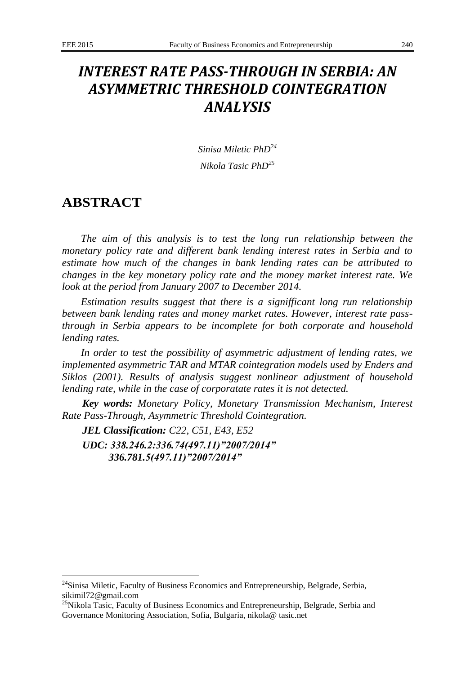# *INTEREST RATE PASS-THROUGH IN SERBIA: AN ASYMMETRIC THRESHOLD COINTEGRATION ANALYSIS*

*Sinisa Miletic PhD<sup>24</sup> Nikola Tasic PhD<sup>25</sup>*

## **ABSTRACT**

1

*The aim of this analysis is to test the long run relationship between the monetary policy rate and different bank lending interest rates in Serbia and to estimate how much of the changes in bank lending rates can be attributed to changes in the key monetary policy rate and the money market interest rate. We look at the period from January 2007 to December 2014.*

*Estimation results suggest that there is a signifficant long run relationship between bank lending rates and money market rates. However, interest rate passthrough in Serbia appears to be incomplete for both corporate and household lending rates.*

*In order to test the possibility of asymmetric adjustment of lending rates, we implemented asymmetric TAR and MTAR cointegration models used by Enders and Siklos (2001). Results of analysis suggest nonlinear adjustment of household lending rate, while in the case of corporatate rates it is not detected.*

*Key words: Monetary Policy, Monetary Transmission Mechanism, Interest Rate Pass-Through, Asymmetric Threshold Cointegration.*

*JEL Classification: C22, C51, E43, E52 UDC: 338.246.2:336.74(497.11)"2007/2014" 336.781.5(497.11)"2007/2014"*

 $24$ Sinisa Miletic, Faculty of Business Economics and Entrepreneurship, Belgrade, Serbia, sikimil72@gmail.com

<sup>&</sup>lt;sup>25</sup>Nikola Tasic, Faculty of Business Economics and Entrepreneurship, Belgrade, Serbia and Governance Monitoring Association, Sofia, Bulgaria, nikola@ tasic.net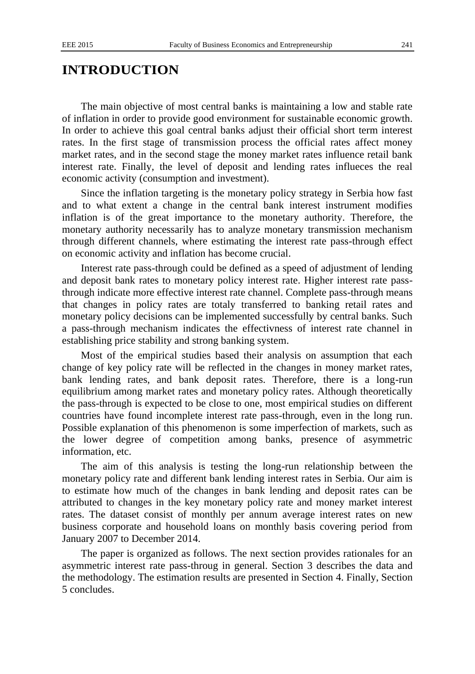#### **INTRODUCTION**

The main objective of most central banks is maintaining a low and stable rate of inflation in order to provide good environment for sustainable economic growth. In order to achieve this goal central banks adjust their official short term interest rates. In the first stage of transmission process the official rates affect money market rates, and in the second stage the money market rates influence retail bank interest rate. Finally, the level of deposit and lending rates influeces the real economic activity (consumption and investment).

Since the inflation targeting is the monetary policy strategy in Serbia how fast and to what extent a change in the central bank interest instrument modifies inflation is of the great importance to the monetary authority. Therefore, the monetary authority necessarily has to analyze monetary transmission mechanism through different channels, where estimating the interest rate pass-through effect on economic activity and inflation has become crucial.

Interest rate pass-through could be defined as a speed of adjustment of lending and deposit bank rates to monetary policy interest rate. Higher interest rate passthrough indicate more effective interest rate channel. Complete pass-through means that changes in policy rates are totaly transferred to banking retail rates and monetary policy decisions can be implemented successfully by central banks. Such a pass-through mechanism indicates the effectivness of interest rate channel in establishing price stability and strong banking system.

Most of the empirical studies based their analysis on assumption that each change of key policy rate will be reflected in the changes in money market rates, bank lending rates, and bank deposit rates. Therefore, there is a long-run equilibrium among market rates and monetary policy rates. Although theoretically the pass-through is expected to be close to one, most empirical studies on different countries have found incomplete interest rate pass-through, even in the long run. Possible explanation of this phenomenon is some imperfection of markets, such as the lower degree of competition among banks, presence of asymmetric information, etc.

The aim of this analysis is testing the long-run relationship between the monetary policy rate and different bank lending interest rates in Serbia. Our aim is to estimate how much of the changes in bank lending and deposit rates can be attributed to changes in the key monetary policy rate and money market interest rates. The dataset consist of monthly per annum average interest rates on new business corporate and household loans on monthly basis covering period from January 2007 to December 2014.

The paper is organized as follows. The next section provides rationales for an asymmetric interest rate pass-throug in general. Section 3 describes the data and the methodology. The estimation results are presented in Section 4. Finally, Section 5 concludes.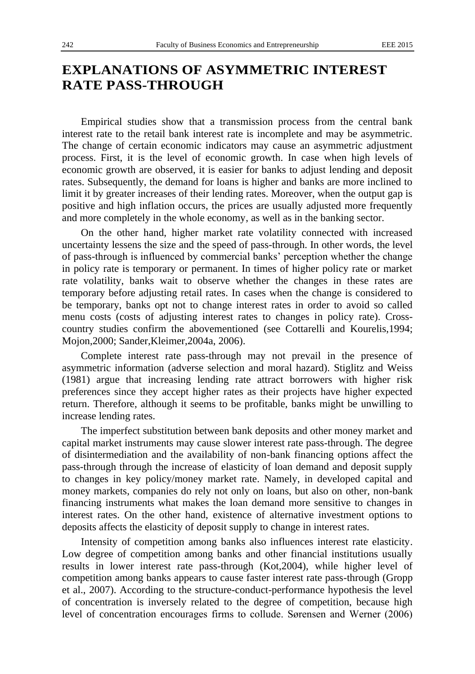## **EXPLANATIONS OF ASYMMETRIC INTEREST RATE PASS-THROUGH**

Empirical studies show that a transmission process from the central bank interest rate to the retail bank interest rate is incomplete and may be asymmetric. The change of certain economic indicators may cause an asymmetric adjustment process. First, it is the level of economic growth. In case when high levels of economic growth are observed, it is easier for banks to adjust lending and deposit rates. Subsequently, the demand for loans is higher and banks are more inclined to limit it by greater increases of their lending rates. Moreover, when the output gap is positive and high inflation occurs, the prices are usually adjusted more frequently and more completely in the whole economy, as well as in the banking sector.

On the other hand, higher market rate volatility connected with increased uncertainty lessens the size and the speed of pass-through. In other words, the level of pass-through is influenced by commercial banks' perception whether the change in policy rate is temporary or permanent. In times of higher policy rate or market rate volatility, banks wait to observe whether the changes in these rates are temporary before adjusting retail rates. In cases when the change is considered to be temporary, banks opt not to change interest rates in order to avoid so called menu costs (costs of adjusting interest rates to changes in policy rate). Crosscountry studies confirm the abovementioned (see Cottarelli and Kourelis,1994; Mojon,2000; Sander,Kleimer,2004a, 2006).

Complete interest rate pass-through may not prevail in the presence of asymmetric information (adverse selection and moral hazard). Stiglitz and Weiss (1981) argue that increasing lending rate attract borrowers with higher risk preferences since they accept higher rates as their projects have higher expected return. Therefore, although it seems to be profitable, banks might be unwilling to increase lending rates.

The imperfect substitution between bank deposits and other money market and capital market instruments may cause slower interest rate pass-through. The degree of disintermediation and the availability of non-bank financing options affect the pass-through through the increase of elasticity of loan demand and deposit supply to changes in key policy/money market rate. Namely, in developed capital and money markets, companies do rely not only on loans, but also on other, non-bank financing instruments what makes the loan demand more sensitive to changes in interest rates. On the other hand, existence of alternative investment options to deposits affects the elasticity of deposit supply to change in interest rates.

Intensity of competition among banks also influences interest rate elasticity. Low degree of competition among banks and other financial institutions usually results in lower interest rate pass-through (Kot,2004), while higher level of competition among banks appears to cause faster interest rate pass-through (Gropp et al., 2007). According to the structure-conduct-performance hypothesis the level of concentration is inversely related to the degree of competition, because high level of concentration encourages firms to collude. Sørensen and Werner (2006)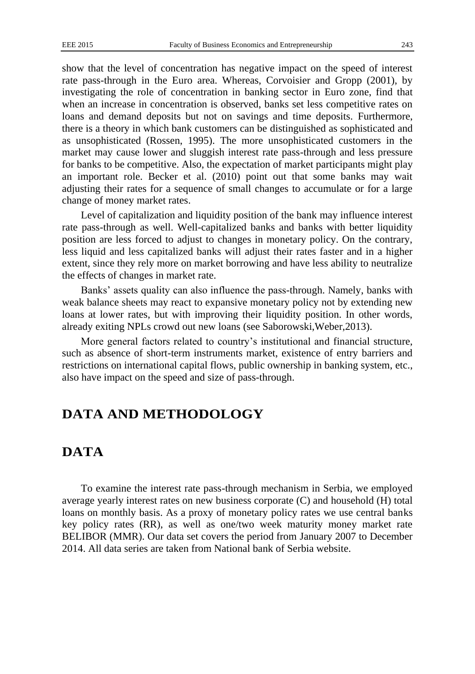show that the level of concentration has negative impact on the speed of interest rate pass-through in the Euro area. Whereas, Corvoisier and Gropp (2001), by investigating the role of concentration in banking sector in Euro zone, find that when an increase in concentration is observed, banks set less competitive rates on loans and demand deposits but not on savings and time deposits. Furthermore, there is a theory in which bank customers can be distinguished as sophisticated and as unsophisticated (Rossen, 1995). The more unsophisticated customers in the market may cause lower and sluggish interest rate pass-through and less pressure for banks to be competitive. Also, the expectation of market participants might play an important role. Becker et al. (2010) point out that some banks may wait adjusting their rates for a sequence of small changes to accumulate or for a large change of money market rates.

Level of capitalization and liquidity position of the bank may influence interest rate pass-through as well. Well-capitalized banks and banks with better liquidity position are less forced to adjust to changes in monetary policy. On the contrary, less liquid and less capitalized banks will adjust their rates faster and in a higher extent, since they rely more on market borrowing and have less ability to neutralize the effects of changes in market rate.

Banks' assets quality can also influence the pass-through. Namely, banks with weak balance sheets may react to expansive monetary policy not by extending new loans at lower rates, but with improving their liquidity position. In other words, already exiting NPLs crowd out new loans (see Saborowski,Weber,2013).

More general factors related to country's institutional and financial structure, such as absence of short-term instruments market, existence of entry barriers and restrictions on international capital flows, public ownership in banking system, etc., also have impact on the speed and size of pass-through.

## **DATA AND METHODOLOGY**

### **DATA**

To examine the interest rate pass-through mechanism in Serbia, we employed average yearly interest rates on new business corporate (C) and household (H) total loans on monthly basis. As a proxy of monetary policy rates we use central banks key policy rates (RR), as well as one/two week maturity money market rate BELIBOR (MMR). Our data set covers the period from January 2007 to December 2014. All data series are taken from National bank of Serbia website.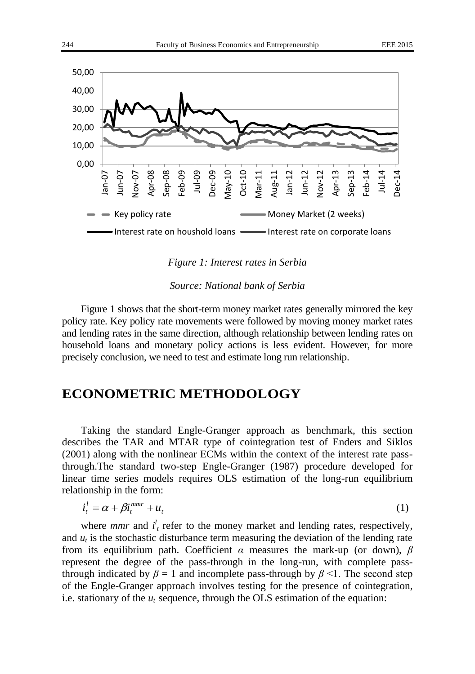

*Figure 1: Interest rates in Serbia*

*Source: National bank of Serbia*

Figure 1 shows that the short-term money market rates generally mirrored the key policy rate. Key policy rate movements were followed by moving money market rates and lending rates in the same direction, although relationship between lending rates on household loans and monetary policy actions is less evident. However, for more precisely conclusion, we need to test and estimate long run relationship.

### **ECONOMETRIC METHODOLOGY**

Taking the standard Engle-Granger approach as benchmark, this section describes the TAR and MTAR type of cointegration test of Enders and Siklos (2001) along with the nonlinear ECMs within the context of the interest rate passthrough.The standard two-step Engle-Granger (1987) procedure developed for linear time series models requires OLS estimation of the long-run equilibrium relationship in the form:

$$
i_t^l = \alpha + \beta i_t^{mmr} + u_t \tag{1}
$$

where *mmr* and  $i_t^l$  refer to the money market and lending rates, respectively, and  $u_t$  is the stochastic disturbance term measuring the deviation of the lending rate from its equilibrium path. Coefficient *α* measures the mark-up (or down), *β* represent the degree of the pass-through in the long-run, with complete passthrough indicated by  $\beta = 1$  and incomplete pass-through by  $\beta$  <1. The second step of the Engle-Granger approach involves testing for the presence of cointegration, i.e. stationary of the  $u_t$  sequence, through the OLS estimation of the equation: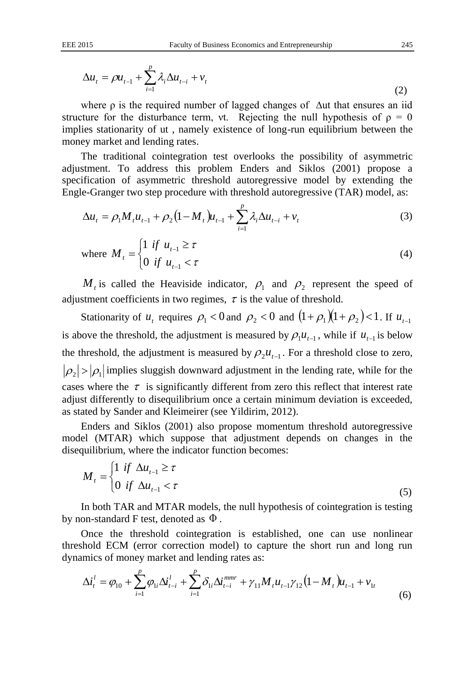$$
\Delta u_t = \rho u_{t-1} + \sum_{i=1}^p \lambda_i \Delta u_{t-i} + v_t
$$
\n(2)

where  $\rho$  is the required number of lagged changes of  $\Delta$ ut that ensures an iid structure for the disturbance term, vt. Rejecting the null hypothesis of  $\rho = 0$ implies stationarity of ut , namely existence of long-run equilibrium between the money market and lending rates.

The traditional cointegration test overlooks the possibility of asymmetric adjustment. To address this problem Enders and Siklos (2001) propose a specification of asymmetric threshold autoregressive model by extending the Engle-Granger two step procedure with threshold autoregressive (TAR) model, as:

$$
\Delta u_t = \rho_1 M_t u_{t-1} + \rho_2 (1 - M_t) u_{t-1} + \sum_{i=1}^p \lambda_i \Delta u_{t-i} + v_t
$$
\n(3)

where 
$$
M_{t} = \begin{cases} 1 & \text{if } u_{t-1} \geq \tau \\ 0 & \text{if } u_{t-1} < \tau \end{cases}
$$
 (4)

 $M_t$  is called the Heaviside indicator,  $\rho_1$  and  $\rho_2$  represent the speed of adjustment coefficients in two regimes,  $\tau$  is the value of threshold.

Stationarity of  $u_t$  requires  $\rho_1 < 0$  and  $\rho_2 < 0$  and  $(1 + \rho_1)(1 + \rho_2) < 1$ . If  $u_{t-1}$ is above the threshold, the adjustment is measured by  $\rho_1 u_{t-1}$ , while if  $u_{t-1}$  is below the threshold, the adjustment is measured by  $\rho_2 u_{t-1}$ . For a threshold close to zero,  $\vert \rho_2 \vert > \vert \rho_1 \vert$  implies sluggish downward adjustment in the lending rate, while for the cases where the  $\tau$  is significantly different from zero this reflect that interest rate adjust differently to disequilibrium once a certain minimum deviation is exceeded, as stated by Sander and Kleimeirer (see Yildirim, 2012).

Enders and Siklos (2001) also propose momentum threshold autoregressive model (MTAR) which suppose that adjustment depends on changes in the disequilibrium, where the indicator function becomes:

$$
M_{t} = \begin{cases} 1 & \text{if } \Delta u_{t-1} \geq \tau \\ 0 & \text{if } \Delta u_{t-1} < \tau \end{cases} \tag{5}
$$

In both TAR and MTAR models, the null hypothesis of cointegration is testing by non-standard F test, denoted as  $\Phi$  .

Once the threshold cointegration is established, one can use nonlinear threshold ECM (error correction model) to capture the short run and long run dynamics of money market and lending rates as:

$$
\Delta i_t^l = \varphi_{10} + \sum_{i=1}^p \varphi_{1i} \Delta i_{t-i}^l + \sum_{i=1}^p \delta_{1i} \Delta i_{t-i}^{mmr} + \gamma_{11} M_t u_{t-1} \gamma_{12} (1 - M_t) u_{t-1} + v_{1t}
$$
(6)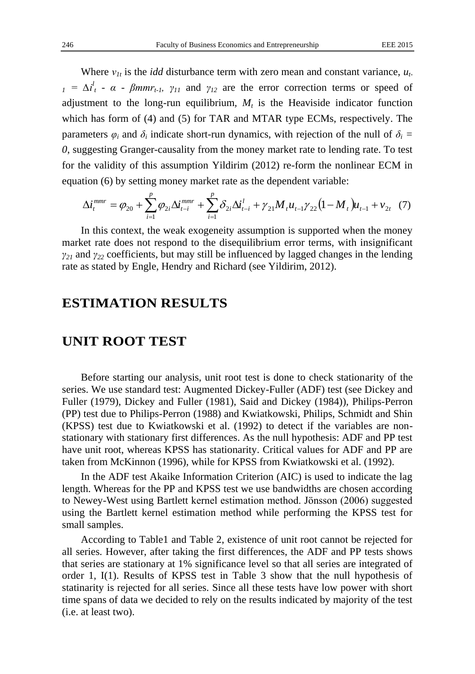Where  $v_{1t}$  is the *idd* disturbance term with zero mean and constant variance,  $u_t$ .  $\Delta t_1^l$  -  $\alpha$  *-*  $\beta$ *mmr*<sub>*t-1*</sub>,  $\gamma_{11}$  and  $\gamma_{12}$  are the error correction terms or speed of adjustment to the long-run equilibrium,  $M_t$  is the Heaviside indicator function which has form of (4) and (5) for TAR and MTAR type ECMs, respectively. The parameters  $\varphi_i$  and  $\delta_i$  indicate short-run dynamics, with rejection of the null of  $\delta_i$  = *0*, suggesting Granger-causality from the money market rate to lending rate. To test for the validity of this assumption Yildirim (2012) re-form the nonlinear ECM in equation (6) by setting money market rate as the dependent variable:

$$
\Delta i_t^{mmr} = \varphi_{20} + \sum_{i=1}^p \varphi_{2i} \Delta i_{t-i}^{mmr} + \sum_{i=1}^p \delta_{2i} \Delta i_{t-i}^l + \gamma_{21} M_t u_{t-1} \gamma_{22} (1 - M_t) u_{t-1} + v_{2t} \quad (7)
$$

In this context, the weak exogeneity assumption is supported when the money market rate does not respond to the disequilibrium error terms, with insignificant *γ<sup>21</sup>* and *γ<sup>22</sup>* coefficients, but may still be influenced by lagged changes in the lending rate as stated by Engle, Hendry and Richard (see Yildirim, 2012).

#### **ESTIMATION RESULTS**

#### **UNIT ROOT TEST**

Before starting our analysis, unit root test is done to check stationarity of the series. We use standard test: Augmented Dickey-Fuller (ADF) test (see Dickey and Fuller (1979), Dickey and Fuller (1981), Said and Dickey (1984)), Philips-Perron (PP) test due to Philips-Perron (1988) and Kwiatkowski, Philips, Schmidt and Shin (KPSS) test due to Kwiatkowski et al. (1992) to detect if the variables are nonstationary with stationary first differences. As the null hypothesis: ADF and PP test have unit root, whereas KPSS has stationarity. Critical values for ADF and PP are taken from McKinnon (1996), while for KPSS from Kwiatkowski et al. (1992).

In the ADF test Akaike Information Criterion (AIC) is used to indicate the lag length. Whereas for the PP and KPSS test we use bandwidths are chosen according to Newey-West using Bartlett kernel estimation method. Jönsson (2006) suggested using the Bartlett kernel estimation method while performing the KPSS test for small samples.

According to Table1 and Table 2, existence of unit root cannot be rejected for all series. However, after taking the first differences, the ADF and PP tests shows that series are stationary at 1% significance level so that all series are integrated of order 1, I(1). Results of KPSS test in Table 3 show that the null hypothesis of statinarity is rejected for all series. Since all these tests have low power with short time spans of data we decided to rely on the results indicated by majority of the test (i.e. at least two).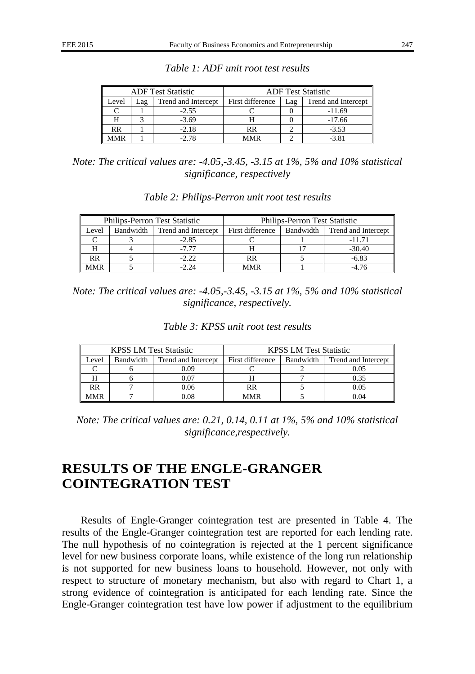| <b>ADF</b> Test Statistic |     |                     | <b>ADF</b> Test Statistic |     |                     |
|---------------------------|-----|---------------------|---------------------------|-----|---------------------|
| Level                     | ∟ag | Trend and Intercept | First difference          | Lag | Trend and Intercept |
|                           |     | $-2.55$             |                           |     | $-11.69$            |
|                           |     | $-3.69$             |                           |     | $-17.66$            |
| RR                        |     | $-2.18$             | RR                        |     | $-3.53$             |
| IMR                       |     | $-2.78$             | <b>MMR</b>                |     | -3.81               |

*Table 1: ADF unit root test results*

*Note: The critical values are: -4.05,-3.45, -3.15 at 1%, 5% and 10% statistical significance, respectively*

|            |           | <b>Philips-Perron Test Statistic</b> | <b>Philips-Perron Test Statistic</b> |  |                               |  |
|------------|-----------|--------------------------------------|--------------------------------------|--|-------------------------------|--|
| Level      | Bandwidth | Trend and Intercept                  | First difference                     |  | Bandwidth Trend and Intercept |  |
|            |           | $-2.85$                              |                                      |  | $-11.71$                      |  |
|            |           | $-7.77$                              |                                      |  | $-30.40$                      |  |
| RR         |           | $-2.22$                              | RR                                   |  | $-6.83$                       |  |
| <b>MMR</b> |           | $-2.24$                              | MMR                                  |  | $-4.76$                       |  |

*Table 2: Philips-Perron unit root test results*

*Note: The critical values are: -4.05,-3.45, -3.15 at 1%, 5% and 10% statistical significance, respectively.*

| Table 3: KPSS unit root test results |  |
|--------------------------------------|--|
|--------------------------------------|--|

|            | <b>KPSS LM Test Statistic</b> |                     | <b>KPSS LM Test Statistic</b> |           |                     |  |
|------------|-------------------------------|---------------------|-------------------------------|-----------|---------------------|--|
| Level      | Bandwidth                     | Trend and Intercept | First difference              | Bandwidth | Trend and Intercept |  |
|            |                               | 0.09                |                               |           | 0.05                |  |
|            |                               | 0.07                |                               |           | 0.35                |  |
| RR         |                               | 0.06                | RR                            |           | 0.05                |  |
| <b>MMR</b> |                               | 0.08                | <b>MMR</b>                    |           | 0.04                |  |

*Note: The critical values are: 0.21, 0.14, 0.11 at 1%, 5% and 10% statistical significance,respectively.*

### **RESULTS OF THE ENGLE-GRANGER COINTEGRATION TEST**

Results of Engle-Granger cointegration test are presented in Table 4. The results of the Engle-Granger cointegration test are reported for each lending rate. The null hypothesis of no cointegration is rejected at the 1 percent significance level for new business corporate loans, while existence of the long run relationship is not supported for new business loans to household. However, not only with respect to structure of monetary mechanism, but also with regard to Chart 1, a strong evidence of cointegration is anticipated for each lending rate. Since the Engle-Granger cointegration test have low power if adjustment to the equilibrium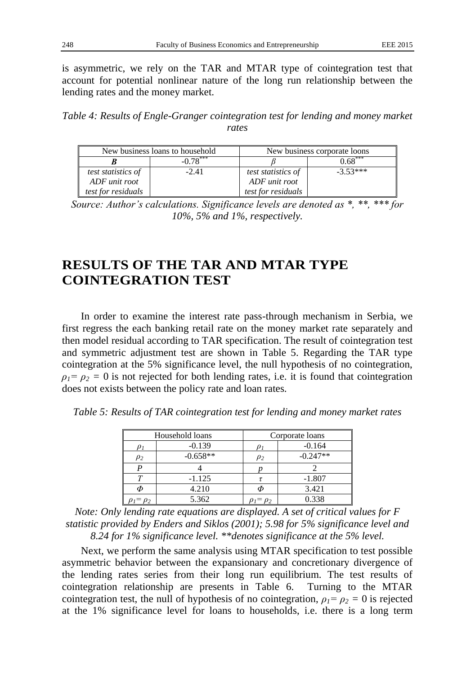is asymmetric, we rely on the TAR and MTAR type of cointegration test that account for potential nonlinear nature of the long run relationship between the lending rates and the money market.

*Table 4: Results of Engle-Granger cointegration test for lending and money market rates*

|                           | New business loans to household | New business corporate loons |            |  |
|---------------------------|---------------------------------|------------------------------|------------|--|
|                           | $-0.78***$                      |                              | $0.68***$  |  |
| <i>test statistics of</i> | $-2.41$                         | <i>test statistics of</i>    | $-3.53***$ |  |
| ADF unit root             |                                 | ADF unit root                |            |  |
| test for residuals        |                                 | test for residuals           |            |  |

*Source: Author's calculations. Significance levels are denoted as \*, \*\*, \*\*\* for 10%, 5% and 1%, respectively.*

## **RESULTS OF THE TAR AND MTAR TYPE COINTEGRATION TEST**

In order to examine the interest rate pass-through mechanism in Serbia, we first regress the each banking retail rate on the money market rate separately and then model residual according to TAR specification. The result of cointegration test and symmetric adjustment test are shown in Table 5. Regarding the TAR type cointegration at the 5% significance level, the null hypothesis of no cointegration,  $\rho_1 = \rho_2 = 0$  is not rejected for both lending rates, i.e. it is found that cointegration does not exists between the policy rate and loan rates.

|  |  | Table 5: Results of TAR cointegration test for lending and money market rates |  |  |  |
|--|--|-------------------------------------------------------------------------------|--|--|--|
|  |  |                                                                               |  |  |  |

|          | Household loans | Corporate loans |            |  |
|----------|-----------------|-----------------|------------|--|
|          | $-0.139$        |                 | $-0.164$   |  |
| $\rho_2$ | $-0.658**$      | $\rho_2$        | $-0.247**$ |  |
|          |                 |                 |            |  |
|          | $-1.125$        |                 | $-1.807$   |  |
| Φ        | 4.210           |                 | 3.421      |  |
|          | 5.362           | $= \rho_2$      | 0.338      |  |

*Note: Only lending rate equations are displayed. A set of critical values for F statistic provided by Enders and Siklos (2001); 5.98 for 5% significance level and 8.24 for 1% significance level. \*\*denotes significance at the 5% level.*

Next, we perform the same analysis using MTAR specification to test possible asymmetric behavior between the expansionary and concretionary divergence of the lending rates series from their long run equilibrium. The test results of cointegration relationship are presents in Table 6. Turning to the MTAR cointegration test, the null of hypothesis of no cointegration,  $\rho_1 = \rho_2 = 0$  is rejected at the 1% significance level for loans to households, i.e. there is a long term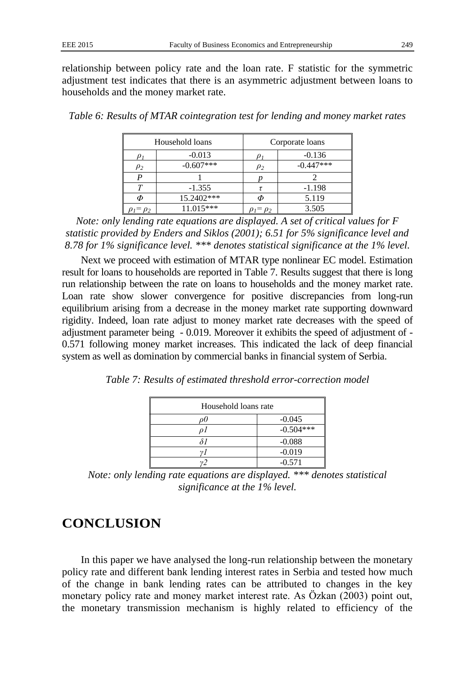relationship between policy rate and the loan rate. F statistic for the symmetric adjustment test indicates that there is an asymmetric adjustment between loans to households and the money market rate.

|            | Household loans | Corporate loans   |             |  |
|------------|-----------------|-------------------|-------------|--|
| υ1         | $-0.013$        |                   | $-0.136$    |  |
| $\rho_2$   | $-0.607***$     | $\rho_2$          | $-0.447***$ |  |
|            |                 |                   |             |  |
|            | $-1.355$        |                   | $-1.198$    |  |
| Φ          | 15.2402***      |                   | 5.119       |  |
| $= \rho_2$ | $11.015***$     | $\rho_1 = \rho_2$ | 3.505       |  |

*Table 6: Results of MTAR cointegration test for lending and money market rates*

*Note: only lending rate equations are displayed. A set of critical values for F statistic provided by Enders and Siklos (2001); 6.51 for 5% significance level and 8.78 for 1% significance level. \*\*\* denotes statistical significance at the 1% level.*

Next we proceed with estimation of MTAR type nonlinear EC model. Estimation result for loans to households are reported in Table 7. Results suggest that there is long run relationship between the rate on loans to households and the money market rate. Loan rate show slower convergence for positive discrepancies from long-run equilibrium arising from a decrease in the money market rate supporting downward rigidity. Indeed, loan rate adjust to money market rate decreases with the speed of adjustment parameter being - 0.019. Moreover it exhibits the speed of adjustment of - 0.571 following money market increases. This indicated the lack of deep financial system as well as domination by commercial banks in financial system of Serbia.

*Table 7: Results of estimated threshold error-correction model*

| Household loans rate |             |  |  |  |
|----------------------|-------------|--|--|--|
|                      | $-0.045$    |  |  |  |
| ΩI                   | $-0.504***$ |  |  |  |
|                      | $-0.088$    |  |  |  |
|                      | $-0.019$    |  |  |  |
|                      | $-0.571$    |  |  |  |

*Note: only lending rate equations are displayed. \*\*\* denotes statistical significance at the 1% level.*

## **CONCLUSION**

In this paper we have analysed the long-run relationship between the monetary policy rate and different bank lending interest rates in Serbia and tested how much of the change in bank lending rates can be attributed to changes in the key monetary policy rate and money market interest rate. As Özkan (2003) point out, the monetary transmission mechanism is highly related to efficiency of the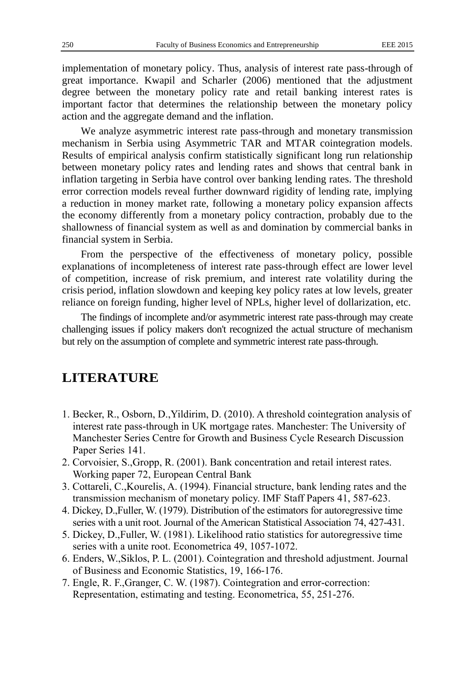implementation of monetary policy. Thus, analysis of interest rate pass-through of great importance. Kwapil and Scharler (2006) mentioned that the adjustment degree between the monetary policy rate and retail banking interest rates is important factor that determines the relationship between the monetary policy action and the aggregate demand and the inflation.

We analyze asymmetric interest rate pass-through and monetary transmission mechanism in Serbia using Asymmetric TAR and MTAR cointegration models. Results of empirical analysis confirm statistically significant long run relationship between monetary policy rates and lending rates and shows that central bank in inflation targeting in Serbia have control over banking lending rates. The threshold error correction models reveal further downward rigidity of lending rate, implying a reduction in money market rate, following a monetary policy expansion affects the economy differently from a monetary policy contraction, probably due to the shallowness of financial system as well as and domination by commercial banks in financial system in Serbia.

From the perspective of the effectiveness of monetary policy, possible explanations of incompleteness of interest rate pass-through effect are lower level of competition, increase of risk premium, and interest rate volatility during the crisis period, inflation slowdown and keeping key policy rates at low levels, greater reliance on foreign funding, higher level of NPLs, higher level of dollarization, etc.

The findings of incomplete and/or asymmetric interest rate pass-through may create challenging issues if policy makers don't recognized the actual structure of mechanism but rely on the assumption of complete and symmetric interest rate pass-through.

#### **LITERATURE**

- 1. Becker, R., Osborn, D.,Yildirim, D. (2010). A threshold cointegration analysis of interest rate pass-through in UK mortgage rates. Manchester: The University of Manchester Series Centre for Growth and Business Cycle Research Discussion Paper Series 141.
- 2. Corvoisier, S.,Gropp, R. (2001). Bank concentration and retail interest rates. Working paper 72, European Central Bank
- 3. Cottareli, C.,Kourelis, A. (1994). Financial structure, bank lending rates and the transmission mechanism of monetary policy. IMF Staff Papers 41, 587-623.
- 4. Dickey, D.,Fuller, W. (1979). Distribution of the estimators for autoregressive time series with a unit root. Journal of the American Statistical Association 74, 427-431.
- 5. Dickey, D.,Fuller, W. (1981). Likelihood ratio statistics for autoregressive time series with a unite root. Econometrica 49, 1057-1072.
- 6. Enders, W.,Siklos, P. L. (2001). Cointegration and threshold adjustment. Journal of Business and Economic Statistics, 19, 166-176.
- 7. Engle, R. F.,Granger, C. W. (1987). Cointegration and error-correction: Representation, estimating and testing. Econometrica, 55, 251-276.